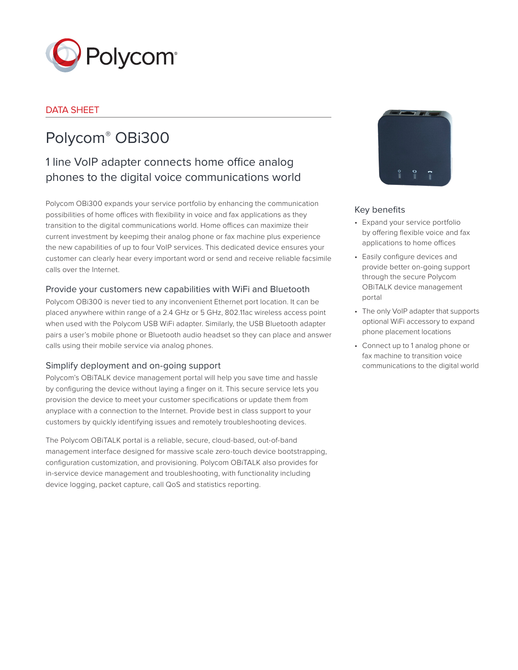

# DATA SHEET

# Polycom® OBi300

# 1 line VoIP adapter connects home office analog phones to the digital voice communications world

Polycom OBi300 expands your service portfolio by enhancing the communication possibilities of home offices with flexibility in voice and fax applications as they transition to the digital communications world. Home offices can maximize their current investment by keepimg their analog phone or fax machine plus experience the new capabilities of up to four VoIP services. This dedicated device ensures your customer can clearly hear every important word or send and receive reliable facsimile calls over the Internet.

# Provide your customers new capabilities with WiFi and Bluetooth

Polycom OBi300 is never tied to any inconvenient Ethernet port location. It can be placed anywhere within range of a 2.4 GHz or 5 GHz, 802.11ac wireless access point when used with the Polycom USB WiFi adapter. Similarly, the USB Bluetooth adapter pairs a user's mobile phone or Bluetooth audio headset so they can place and answer calls using their mobile service via analog phones.

# Simplify deployment and on-going support

Polycom's OBiTALK device management portal will help you save time and hassle by configuring the device without laying a finger on it. This secure service lets you provision the device to meet your customer specifications or update them from anyplace with a connection to the Internet. Provide best in class support to your customers by quickly identifying issues and remotely troubleshooting devices.

The Polycom OBiTALK portal is a reliable, secure, cloud-based, out-of-band management interface designed for massive scale zero-touch device bootstrapping, configuration customization, and provisioning. Polycom OBiTALK also provides for in-service device management and troubleshooting, with functionality including device logging, packet capture, call QoS and statistics reporting.



# Key benefits

- Expand your service portfolio by offering flexible voice and fax applications to home offices
- Easily configure devices and provide better on-going support through the secure Polycom OBiTALK device management portal
- The only VoIP adapter that supports optional WiFi accessory to expand phone placement locations
- Connect up to 1 analog phone or fax machine to transition voice communications to the digital worl[d](http://www.obitalk.com/)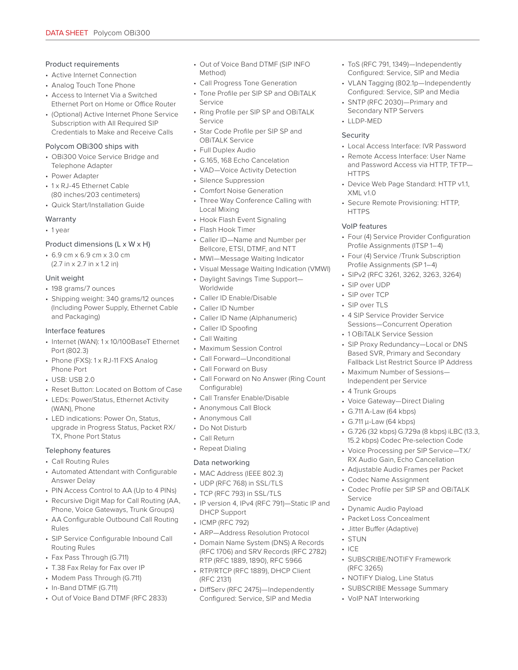#### Product requirements

- Active Internet Connection
- Analog Touch Tone Phone
- Access to Internet Via a Switched Ethernet Port on Home or Office Router
- (Optional) Active Internet Phone Service Subscription with All Required SIP Credentials to Make and Receive Calls

#### Polycom OBi300 ships with

- OBi300 Voice Service Bridge and Telephone Adapter
- Power Adapter
- 1 x RJ-45 Ethernet Cable (80 inches/203 centimeters)
- Quick Start/Installation Guide

#### Warranty

• 1 year

#### Product dimensions (L x W x H)

• 6.9 cm x 6.9 cm x 3.0 cm (2.7 in x 2.7 in x 1.2 in)

#### Unit weight

- 198 grams/7 ounces
- Shipping weight: 340 grams/12 ounces (Including Power Supply, Ethernet Cable and Packaging)

#### Interface features

- Internet (WAN): 1 x 10/100BaseT Ethernet Port (802.3)
- Phone (FXS): 1 x RJ-11 FXS Analog Phone Port
- $\cdot$  USB: USB 2.0
- Reset Button: Located on Bottom of Case
- LEDs: Power/Status, Ethernet Activity (WAN), Phone
- LED indications: Power On, Status, upgrade in Progress Status, Packet RX/ TX, Phone Port Status

## Telephony features

- Call Routing Rules
- Automated Attendant with Configurable Answer Delay
- PIN Access Control to AA (Up to 4 PINs)
- Recursive Digit Map for Call Routing (AA, Phone, Voice Gateways, Trunk Groups)
- AA Configurable Outbound Call Routing Rules
- SIP Service Configurable Inbound Call Routing Rules
- Fax Pass Through (G.711)
- T.38 Fax Relay for Fax over IP
- Modem Pass Through (G.711)
- In-Band DTMF (G.711)
- Out of Voice Band DTMF (RFC 2833)
- Out of Voice Band DTMF (SIP INFO Method)
- Call Progress Tone Generation
- Tone Profile per SIP SP and OBiTALK Service
- Ring Profile per SIP SP and OBiTALK Service
- Star Code Profile per SIP SP and OBiTALK Service
- Full Duplex Audio
- G.165, 168 Echo Cancelation
- VAD—Voice Activity Detection
- Silence Suppression
- Comfort Noise Generation
- Three Way Conference Calling with Local Mixing
- Hook Flash Event Signaling
- Flash Hook Timer
- Caller ID—Name and Number per Bellcore, ETSI, DTMF, and NTT
- MWI—Message Waiting Indicator
- Visual Message Waiting Indication (VMWI)
- Daylight Savings Time Support— Worldwide
- Caller ID Enable/Disable
- Caller ID Number
- Caller ID Name (Alphanumeric)
- Caller ID Spoofing
- Call Waiting
- Maximum Session Control
- Call Forward—Unconditional
- Call Forward on Busy
- Call Forward on No Answer (Ring Count Configurable)
- Call Transfer Enable/Disable
- Anonymous Call Block
- Anonymous Call
- Do Not Disturb
- Call Return
- Repeat Dialing

#### Data networking

- MAC Address (IEEE 802.3)
- UDP (RFC 768) in SSL/TLS
- TCP (RFC 793) in SSL/TLS
- IP version 4, IPv4 (RFC 791)—Static IP and DHCP Support
- ICMP (RFC 792)
- ARP—Address Resolution Protocol
- Domain Name System (DNS) A Records (RFC 1706) and SRV Records (RFC 2782) RTP (RFC 1889, 1890), RFC 5966
- RTP/RTCP (RFC 1889), DHCP Client (RFC 2131)
- DiffServ (RFC 2475)—Independently Configured: Service, SIP and Media
- ToS (RFC 791, 1349)—Independently Configured: Service, SIP and Media
- VLAN Tagging (802.1p—Independently Configured: Service, SIP and Media
- SNTP (RFC 2030)—Primary and Secondary NTP Servers
- LLDP-MED

#### Security

- Local Access Interface: IVR Password
- Remote Access Interface: User Name and Password Access via HTTP, TFTP— **HTTPS**
- Device Web Page Standard: HTTP v1.1, XML v1.0
- Secure Remote Provisioning: HTTP, **HTTPS**

#### VoIP features

- Four (4) Service Provider Configuration Profile Assignments (ITSP 1–4)
- Four (4) Service /Trunk Subscription Profile Assignments (SP 1–4)
- SIPv2 (RFC 3261, 3262, 3263, 3264)
- SIP over UDP
- SIP over TCP
- SIP over TLS
- 4 SIP Service Provider Service Sessions—Concurrent Operation
- 1 OBiTALK Service Session
- SIP Proxy Redundancy—Local or DNS Based SVR, Primary and Secondary Fallback List Restrict Source IP Address

• G.726 (32 kbps) G.729a (8 kbps) iLBC (13.3, 15.2 kbps) Codec Pre-selection Code • Voice Processing per SIP Service—TX/ RX Audio Gain, Echo Cancellation • Adjustable Audio Frames per Packet

• Codec Profile per SIP SP and OBiTALK

• Maximum Number of Sessions— Independent per Service

• Voice Gateway—Direct Dialing

• 4 Trunk Groups

• G.711 A-Law (64 kbps) • G.711 µ-Law (64 kbps)

• Codec Name Assignment

• Dynamic Audio Payload • Packet Loss Concealment • Jitter Buffer (Adaptive)

• SUBSCRIBE/NOTIFY Framework

• NOTIFY Dialog, Line Status • SUBSCRIBE Message Summary

• VoIP NAT Interworking

Service

• STUN  $\cdot$  ICE

(RFC 3265)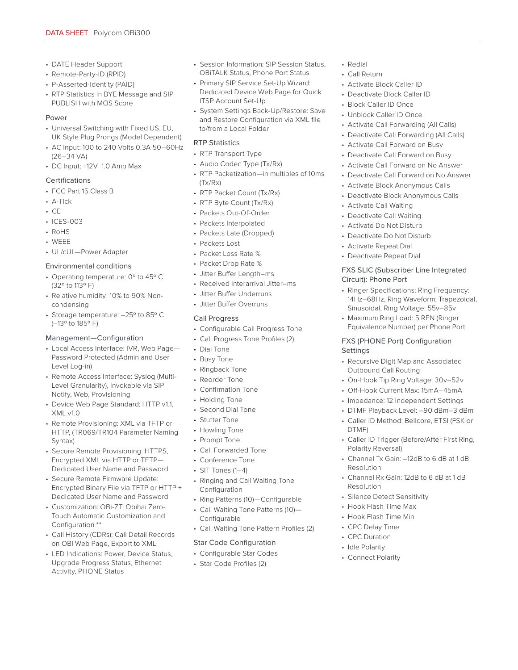- DATE Header Support
- Remote-Party-ID (RPID)
- P-Asserted-Identity (PAID)
- RTP Statistics in BYE Message and SIP PUBLISH with MOS Score

#### Power

- Universal Switching with Fixed US, EU, UK Style Plug Prongs (Model Dependent)
- AC Input: 100 to 240 Volts 0.3A 50–60Hz (26–34 VA)
- DC Input: +12V 1.0 Amp Max

#### Certifications

- FCC Part 15 Class B
- A-Tick
- $\cdot$  CE
- ICES-003
- RoHS
- WEEE
- UL/cUL—Power Adapter

#### Environmental conditions

- Operating temperature: 0º to 45º C (32º to 113º F)
- Relative humidity: 10% to 90% Noncondensing
- Storage temperature: –25º to 85º C (–13º to 185º F)

#### Management—Configuration

- Local Access Interface: IVR, Web Page— Password Protected (Admin and User Level Log-in)
- Remote Access Interface: Syslog (Multi-Level Granularity), Invokable via SIP Notify, Web, Provisioning
- Device Web Page Standard: HTTP v1.1, XML v1.0
- Remote Provisioning: XML via TFTP or HTTP, (TR069/TR104 Parameter Naming Syntax)
- Secure Remote Provisioning: HTTPS, Encrypted XML via HTTP or TFTP— Dedicated User Name and Password
- Secure Remote Firmware Update: Encrypted Binary File via TFTP or HTTP + Dedicated User Name and Password
- Customization: OBi-ZT: Obihai Zero-Touch Automatic Customization and Configuration \*\*
- Call History (CDRs): Call Detail Records on OBi Web Page, Export to XML
- LED Indications: Power, Device Status, Upgrade Progress Status, Ethernet Activity, PHONE Status
- Session Information: SIP Session Status, OBiTALK Status, Phone Port Status
- Primary SIP Service Set-Up Wizard: Dedicated Device Web Page for Quick ITSP Account Set-Up
- System Settings Back-Up/Restore: Save and Restore Configuration via XML file to/from a Local Folder

## RTP Statistics

- RTP Transport Type
- Audio Codec Type (Tx/Rx)
- RTP Packetization—in multiples of 10ms (Tx/Rx)
- RTP Packet Count (Tx/Rx)
- RTP Byte Count (Tx/Rx)
- Packets Out-Of-Order
- Packets Interpolated
- Packets Late (Dropped)
- Packets Lost
- Packet Loss Rate %
- Packet Drop Rate %
- Jitter Buffer Length–ms
- Received Interarrival Jitter–ms
- Jitter Buffer Underruns
- Jitter Buffer Overruns

#### Call Progress

- Configurable Call Progress Tone
- Call Progress Tone Profiles (2)
- Dial Tone
- Busy Tone
- Ringback Tone
- Reorder Tone
- Confirmation Tone
- Holding Tone
- Second Dial Tone
- Stutter Tone
- Howling Tone
- Prompt Tone
- Call Forwarded Tone
- Conference Tone
- SIT Tones (1–4)
- Ringing and Call Waiting Tone Configuration
- Ring Patterns (10)—Configurable
- Call Waiting Tone Patterns (10)— Configurable
- Call Waiting Tone Pattern Profiles (2)

# Star Code Configuration

• Configurable Star Codes • Star Code Profiles (2)

- Redial
- Call Return
- Activate Block Caller ID
- Deactivate Block Caller ID
- Block Caller ID Once
- Unblock Caller ID Once
- Activate Call Forwarding (All Calls)
- Deactivate Call Forwarding (All Calls)
- Activate Call Forward on Busy
- Deactivate Call Forward on Busy
- Activate Call Forward on No Answer
- Deactivate Call Forward on No Answer
- Activate Block Anonymous Calls
- Deactivate Block Anonymous Calls
- Activate Call Waiting
- Deactivate Call Waiting
- Activate Do Not Disturb
- Deactivate Do Not Disturb
- Activate Repeat Dial
- Deactivate Repeat Dial

#### FXS SLIC (Subscriber Line Integrated Circuit): Phone Port

- Ringer Specifications: Ring Frequency: 14Hz–68Hz, Ring Waveform: Trapezoidal, Sinusoidal, Ring Voltage: 55v–85v
- Maximum Ring Load: 5 REN (Ringer Equivalence Number) per Phone Port

#### FXS (PHONE Port) Configuration **Settings**

- Recursive Digit Map and Associated Outbound Call Routing
- On-Hook Tip Ring Voltage: 30v–52v
- Off-Hook Current Max: 15mA–45mA
- Impedance: 12 Independent Settings • DTMF Playback Level: –90 dBm–3 dBm

DTMF)

Resolution

Resolution

Polarity Reversal)

• Silence Detect Sensitivity • Hook Flash Time Max • Hook Flash Time Min • CPC Delay Time • CPC Duration • Idle Polarity • Connect Polarity

• Caller ID Method: Bellcore, ETSI (FSK or

• Caller ID Trigger (Before/After First Ring,

• Channel Tx Gain: –12dB to 6 dB at 1 dB

• Channel Rx Gain: 12dB to 6 dB at 1 dB